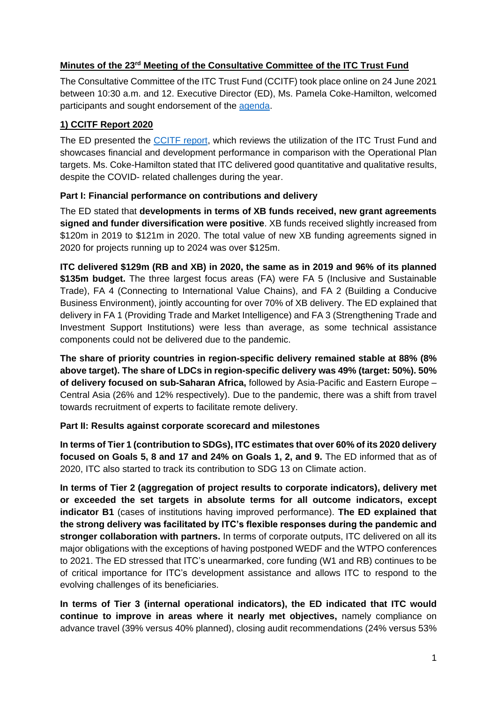### **Minutes of the 23rd Meeting of the Consultative Committee of the ITC Trust Fund**

The Consultative Committee of the ITC Trust Fund (CCITF) took place online on 24 June 2021 between 10:30 a.m. and 12. Executive Director (ED), Ms. Pamela Coke-Hamilton, welcomed participants and sought endorsement of the [agenda.](https://www.intracen.org/uploadedFiles/intracenorg/Content/About_ITC/Working_with_ITC/JAG/Consultative_committee_of_the_ITC_trust_fund/Agenda_CCITF%2024%20June%202021.pdf)

# **1) CCITF Report 2020**

The ED presented the [CCITF report,](https://www.intracen.org/uploadedFiles/intracenorg/Content/About_ITC/Working_with_ITC/JAG/Consultative_committee_of_the_ITC_trust_fund/CCITF%20Report%20Jan%20-%20Dec%202020_for%20web.pdf) which reviews the utilization of the ITC Trust Fund and showcases financial and development performance in comparison with the Operational Plan targets. Ms. Coke-Hamilton stated that ITC delivered good quantitative and qualitative results, despite the COVID- related challenges during the year.

# **Part I: Financial performance on contributions and delivery**

The ED stated that **developments in terms of XB funds received, new grant agreements signed and funder diversification were positive**. XB funds received slightly increased from \$120m in 2019 to \$121m in 2020. The total value of new XB funding agreements signed in 2020 for projects running up to 2024 was over \$125m.

**ITC delivered \$129m (RB and XB) in 2020, the same as in 2019 and 96% of its planned \$135m budget.** The three largest focus areas (FA) were FA 5 (Inclusive and Sustainable Trade), FA 4 (Connecting to International Value Chains), and FA 2 (Building a Conducive Business Environment), jointly accounting for over 70% of XB delivery. The ED explained that delivery in FA 1 (Providing Trade and Market Intelligence) and FA 3 (Strengthening Trade and Investment Support Institutions) were less than average, as some technical assistance components could not be delivered due to the pandemic.

**The share of priority countries in region-specific delivery remained stable at 88% (8% above target). The share of LDCs in region-specific delivery was 49% (target: 50%). 50% of delivery focused on sub-Saharan Africa,** followed by Asia-Pacific and Eastern Europe – Central Asia (26% and 12% respectively). Due to the pandemic, there was a shift from travel towards recruitment of experts to facilitate remote delivery.

### **Part II: Results against corporate scorecard and milestones**

**In terms of Tier 1 (contribution to SDGs), ITC estimates that over 60% of its 2020 delivery focused on Goals 5, 8 and 17 and 24% on Goals 1, 2, and 9.** The ED informed that as of 2020, ITC also started to track its contribution to SDG 13 on Climate action.

**In terms of Tier 2 (aggregation of project results to corporate indicators), delivery met or exceeded the set targets in absolute terms for all outcome indicators, except indicator B1** (cases of institutions having improved performance). **The ED explained that the strong delivery was facilitated by ITC's flexible responses during the pandemic and stronger collaboration with partners.** In terms of corporate outputs, ITC delivered on all its major obligations with the exceptions of having postponed WEDF and the WTPO conferences to 2021. The ED stressed that ITC's unearmarked, core funding (W1 and RB) continues to be of critical importance for ITC's development assistance and allows ITC to respond to the evolving challenges of its beneficiaries.

**In terms of Tier 3 (internal operational indicators), the ED indicated that ITC would continue to improve in areas where it nearly met objectives,** namely compliance on advance travel (39% versus 40% planned), closing audit recommendations (24% versus 53%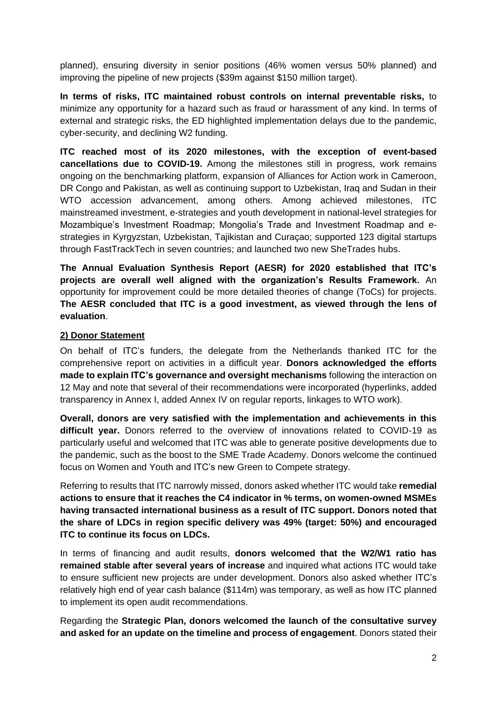planned), ensuring diversity in senior positions (46% women versus 50% planned) and improving the pipeline of new projects (\$39m against \$150 million target).

**In terms of risks, ITC maintained robust controls on internal preventable risks,** to minimize any opportunity for a hazard such as fraud or harassment of any kind. In terms of external and strategic risks, the ED highlighted implementation delays due to the pandemic, cyber-security, and declining W2 funding.

**ITC reached most of its 2020 milestones, with the exception of event-based cancellations due to COVID-19.** Among the milestones still in progress, work remains ongoing on the benchmarking platform, expansion of Alliances for Action work in Cameroon, DR Congo and Pakistan, as well as continuing support to Uzbekistan, Iraq and Sudan in their WTO accession advancement, among others. Among achieved milestones, ITC mainstreamed investment, e-strategies and youth development in national-level strategies for Mozambique's Investment Roadmap; Mongolia's Trade and Investment Roadmap and estrategies in Kyrgyzstan, Uzbekistan, Tajikistan and Curaçao; supported 123 digital startups through FastTrackTech in seven countries; and launched two new SheTrades hubs.

**The Annual Evaluation Synthesis Report (AESR) for 2020 established that ITC's projects are overall well aligned with the organization's Results Framework.** An opportunity for improvement could be more detailed theories of change (ToCs) for projects. **The AESR concluded that ITC is a good investment, as viewed through the lens of evaluation**.

### **2) Donor Statement**

On behalf of ITC's funders, the delegate from the Netherlands thanked ITC for the comprehensive report on activities in a difficult year. **Donors acknowledged the efforts made to explain ITC's governance and oversight mechanisms** following the interaction on 12 May and note that several of their recommendations were incorporated (hyperlinks, added transparency in Annex I, added Annex IV on regular reports, linkages to WTO work).

**Overall, donors are very satisfied with the implementation and achievements in this difficult year.** Donors referred to the overview of innovations related to COVID-19 as particularly useful and welcomed that ITC was able to generate positive developments due to the pandemic, such as the boost to the SME Trade Academy. Donors welcome the continued focus on Women and Youth and ITC's new Green to Compete strategy.

Referring to results that ITC narrowly missed, donors asked whether ITC would take **remedial actions to ensure that it reaches the C4 indicator in % terms, on women-owned MSMEs having transacted international business as a result of ITC support. Donors noted that the share of LDCs in region specific delivery was 49% (target: 50%) and encouraged ITC to continue its focus on LDCs.** 

In terms of financing and audit results, **donors welcomed that the W2/W1 ratio has remained stable after several years of increase** and inquired what actions ITC would take to ensure sufficient new projects are under development. Donors also asked whether ITC's relatively high end of year cash balance (\$114m) was temporary, as well as how ITC planned to implement its open audit recommendations.

Regarding the **Strategic Plan, donors welcomed the launch of the consultative survey and asked for an update on the timeline and process of engagement**. Donors stated their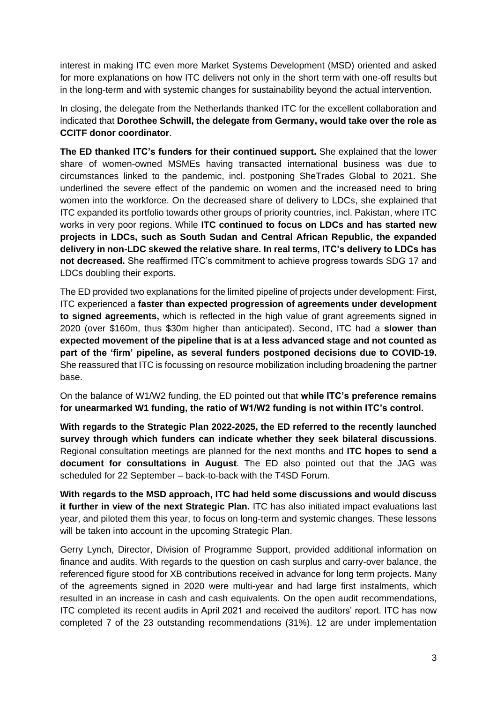interest in making ITC even more Market Systems Development (MSD) oriented and asked for more explanations on how ITC delivers not only in the short term with one-off results but in the long-term and with systemic changes for sustainability beyond the actual intervention.

In closing, the delegate from the Netherlands thanked ITC for the excellent collaboration and indicated that **Dorothee Schwill, the delegate from Germany, would take over the role as CCITF donor coordinator**.

**The ED thanked ITC's funders for their continued support.** She explained that the lower share of women-owned MSMEs having transacted international business was due to circumstances linked to the pandemic, incl. postponing SheTrades Global to 2021. She underlined the severe effect of the pandemic on women and the increased need to bring women into the workforce. On the decreased share of delivery to LDCs, she explained that ITC expanded its portfolio towards other groups of priority countries, incl. Pakistan, where ITC works in very poor regions. While **ITC continued to focus on LDCs and has started new projects in LDCs, such as South Sudan and Central African Republic, the expanded delivery in non-LDC skewed the relative share. In real terms, ITC's delivery to LDCs has not decreased.** She reaffirmed ITC's commitment to achieve progress towards SDG 17 and LDCs doubling their exports.

The ED provided two explanations for the limited pipeline of projects under development: First, ITC experienced a **faster than expected progression of agreements under development to signed agreements,** which is reflected in the high value of grant agreements signed in 2020 (over \$160m, thus \$30m higher than anticipated). Second, ITC had a **slower than expected movement of the pipeline that is at a less advanced stage and not counted as part of the 'firm' pipeline, as several funders postponed decisions due to COVID-19.** She reassured that ITC is focussing on resource mobilization including broadening the partner base.

On the balance of W1/W2 funding, the ED pointed out that **while ITC's preference remains for unearmarked W1 funding, the ratio of W1/W2 funding is not within ITC's control.** 

**With regards to the Strategic Plan 2022-2025, the ED referred to the recently launched survey through which funders can indicate whether they seek bilateral discussions**. Regional consultation meetings are planned for the next months and **ITC hopes to send a document for consultations in August**. The ED also pointed out that the JAG was scheduled for 22 September – back-to-back with the T4SD Forum.

**With regards to the MSD approach, ITC had held some discussions and would discuss it further in view of the next Strategic Plan.** ITC has also initiated impact evaluations last year, and piloted them this year, to focus on long-term and systemic changes. These lessons will be taken into account in the upcoming Strategic Plan.

Gerry Lynch, Director, Division of Programme Support, provided additional information on finance and audits. With regards to the question on cash surplus and carry-over balance, the referenced figure stood for XB contributions received in advance for long term projects. Many of the agreements signed in 2020 were multi-year and had large first instalments, which resulted in an increase in cash and cash equivalents. On the open audit recommendations, ITC completed its recent audits in April 2021 and received the auditors' report. ITC has now completed 7 of the 23 outstanding recommendations (31%). 12 are under implementation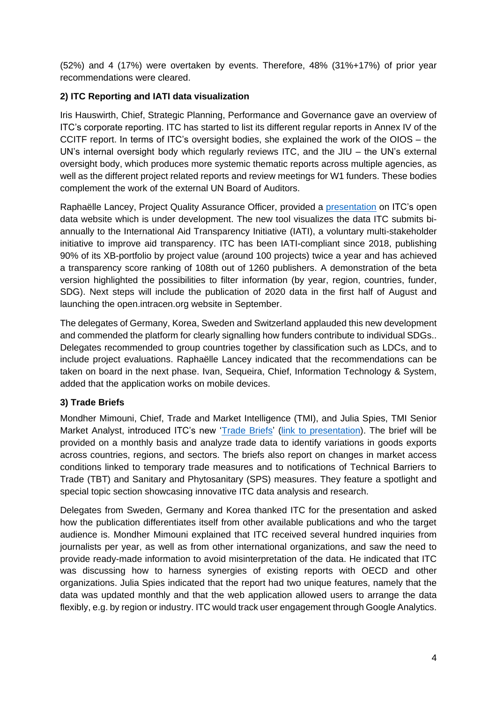(52%) and 4 (17%) were overtaken by events. Therefore, 48% (31%+17%) of prior year recommendations were cleared.

## **2) ITC Reporting and IATI data visualization**

Iris Hauswirth, Chief, Strategic Planning, Performance and Governance gave an overview of ITC's corporate reporting. ITC has started to list its different regular reports in Annex IV of the CCITF report. In terms of ITC's oversight bodies, she explained the work of the OIOS – the UN's internal oversight body which regularly reviews ITC, and the JIU – the UN's external oversight body, which produces more systemic thematic reports across multiple agencies, as well as the different project related reports and review meetings for W1 funders. These bodies complement the work of the external UN Board of Auditors.

Raphaëlle Lancey, Project Quality Assurance Officer, provided a [presentation](https://www.intracen.org/uploadedFiles/intracenorg/Content/About_ITC/Working_with_ITC/JAG/Consultative_committee_of_the_ITC_trust_fund/2.%20Open_Data_webiste_CCITF_Presentation_final.pdf) on ITC's open data website which is under development. The new tool visualizes the data ITC submits biannually to the International Aid Transparency Initiative (IATI), a voluntary multi-stakeholder initiative to improve aid transparency. ITC has been IATI-compliant since 2018, publishing 90% of its XB-portfolio by project value (around 100 projects) twice a year and has achieved a transparency score ranking of 108th out of 1260 publishers. A demonstration of the beta version highlighted the possibilities to filter information (by year, region, countries, funder, SDG). Next steps will include the publication of 2020 data in the first half of August and launching the open.intracen.org website in September.

The delegates of Germany, Korea, Sweden and Switzerland applauded this new development and commended the platform for clearly signalling how funders contribute to individual SDGs.. Delegates recommended to group countries together by classification such as LDCs, and to include project evaluations. Raphaëlle Lancey indicated that the recommendations can be taken on board in the next phase. Ivan, Sequeira, Chief, Information Technology & System, added that the application works on mobile devices.

### **3) Trade Briefs**

Mondher Mimouni, Chief, Trade and Market Intelligence (TMI), and Julia Spies, TMI Senior Market Analyst, introduced ITC's new ['Trade Briefs'](https://tradebriefs.intracen.org/) [\(link to presentation\)](https://www.intracen.org/uploadedFiles/intracenorg/Content/About_ITC/Working_with_ITC/JAG/Consultative_committee_of_the_ITC_trust_fund/3.%20Trade%20Briefs_CCITF.pdf). The brief will be provided on a monthly basis and analyze trade data to identify variations in goods exports across countries, regions, and sectors. The briefs also report on changes in market access conditions linked to temporary trade measures and to notifications of Technical Barriers to Trade (TBT) and Sanitary and Phytosanitary (SPS) measures. They feature a spotlight and special topic section showcasing innovative ITC data analysis and research.

Delegates from Sweden, Germany and Korea thanked ITC for the presentation and asked how the publication differentiates itself from other available publications and who the target audience is. Mondher Mimouni explained that ITC received several hundred inquiries from journalists per year, as well as from other international organizations, and saw the need to provide ready-made information to avoid misinterpretation of the data. He indicated that ITC was discussing how to harness synergies of existing reports with OECD and other organizations. Julia Spies indicated that the report had two unique features, namely that the data was updated monthly and that the web application allowed users to arrange the data flexibly, e.g. by region or industry. ITC would track user engagement through Google Analytics.